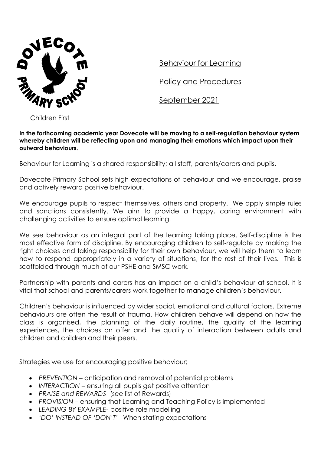

Behaviour for Learning

Policy and Procedures

September 2021

Children First

**In the forthcoming academic year Dovecote will be moving to a self-regulation behaviour system whereby children will be reflecting upon and managing their emotions which impact upon their outward behaviours.**

Behaviour for Learning is a shared responsibility; all staff, parents/carers and pupils.

Dovecote Primary School sets high expectations of behaviour and we encourage, praise and actively reward positive behaviour.

We encourage pupils to respect themselves, others and property. We apply simple rules and sanctions consistently. We aim to provide a happy, caring environment with challenging activities to ensure optimal learning.

We see behaviour as an integral part of the learning taking place. Self-discipline is the most effective form of discipline. By encouraging children to self-regulate by making the right choices and taking responsibility for their own behaviour, we will help them to learn how to respond appropriately in a variety of situations, for the rest of their lives. This is scaffolded through much of our PSHE and SMSC work.

Partnership with parents and carers has an impact on a child's behaviour at school. It is vital that school and parents/carers work together to manage children's behaviour.

Children's behaviour is influenced by wider social, emotional and cultural factors. Extreme behaviours are often the result of trauma. How children behave will depend on how the class is organised, the planning of the daily routine, the quality of the learning experiences, the choices on offer and the quality of interaction between adults and children and children and their peers.

Strategies we use for encouraging positive behaviour;

- *PREVENTION –* anticipation and removal of potential problems
- *INTERACTION –* ensuring all pupils get positive attention
- *PRAISE and REWARDS* (see list of Rewards)
- *PROVISION –* ensuring that Learning and Teaching Policy is implemented
- *LEADING BY EXAMPLE-* positive role modelling
- *'DO' INSTEAD OF 'DON'T'* –When stating expectations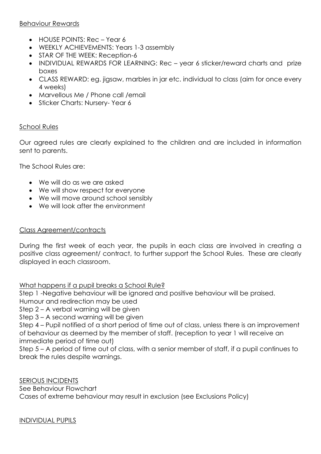# Behaviour Rewards

- HOUSE POINTS: Rec Year 6
- WEEKLY ACHIEVEMENTS: Years 1-3 assembly
- STAR OF THE WEEK: Reception-6
- INDIVIDUAL REWARDS FOR LEARNING: Rec year 6 sticker/reward charts and prize boxes
- CLASS REWARD: eg. jigsaw, marbles in jar etc. individual to class (aim for once every 4 weeks)
- Marvellous Me / Phone call / email
- Sticker Charts: Nursery-Year 6

# School Rules

Our agreed rules are clearly explained to the children and are included in information sent to parents.

The School Rules are:

- We will do as we are asked
- We will show respect for everyone
- We will move around school sensibly
- We will look after the environment

# Class Agreement/contracts

During the first week of each year, the pupils in each class are involved in creating a positive class agreement/ contract, to further support the School Rules. These are clearly displayed in each classroom.

What happens if a pupil breaks a School Rule?

Step 1 -Negative behaviour will be ignored and positive behaviour will be praised.

Humour and redirection may be used

Step 2 – A verbal warning will be given

Step 3 – A second warning will be given

Step 4 – Pupil notified of a short period of time out of class, unless there is an improvement of behaviour as deemed by the member of staff. (reception to year 1 will receive an immediate period of time out)

Step 5 – A period of time out of class, with a senior member of staff, if a pupil continues to break the rules despite warnings.

SERIOUS INCIDENTS See Behaviour Flowchart Cases of extreme behaviour may result in exclusion (see Exclusions Policy)

INDIVIDUAL PUPILS